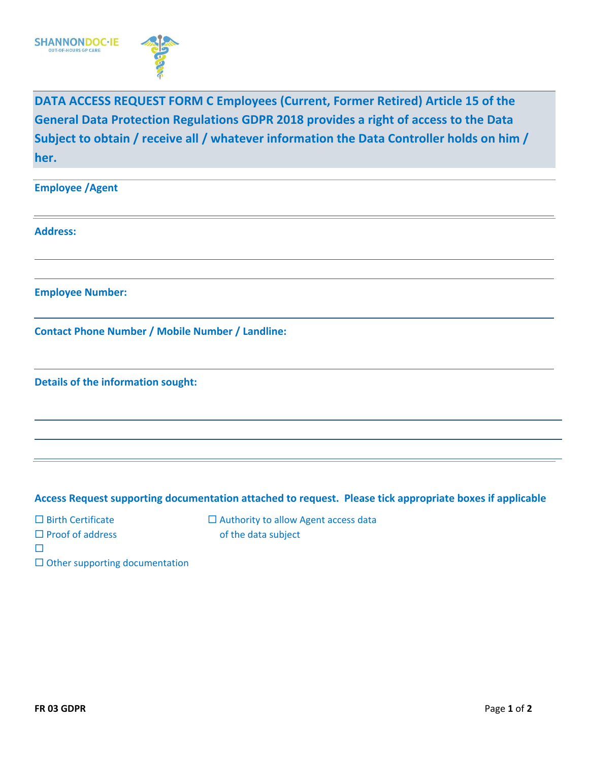

**DATA ACCESS REQUEST FORM C Employees (Current, Former Retired) Article 15 of the General Data Protection Regulations GDPR 2018 provides a right of access to the Data Subject to obtain / receive all / whatever information the Data Controller holds on him / her.**

**Employee /Agent** 

**Address:**

**Employee Number:**

**Contact Phone Number / Mobile Number / Landline:**

**Details of the information sought:**

## **Access Request supporting documentation attached to request. Please tick appropriate boxes if applicable**

 $\Box$  Birth Certificate  $\Box$  Authority to allow Agent access data  $\square$  Proof of address of the data subject

 $\Box$ 

 $\square$  Other supporting documentation